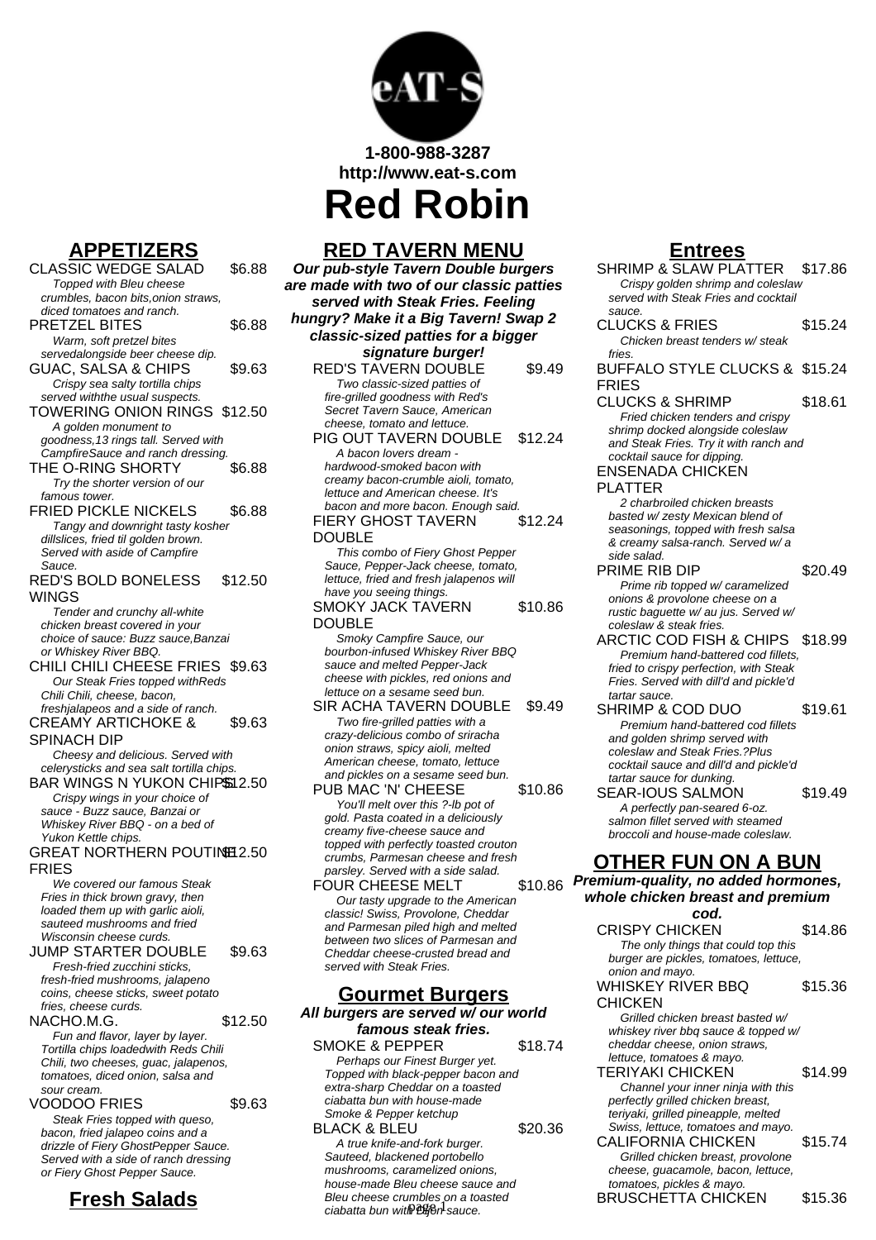

**1-800-988-3287**

**http://www.eat-s.com**

**Red Robin**

# **APPETIZERS**

CLASSIC WEDGE SALAD \$6.88 Topped with Bleu cheese crumbles, bacon bits,onion straws, diced tomatoes and ranch. PRETZEL BITES \$6.88 Warm, soft pretzel bites servedalongside beer cheese dip. GUAC, SALSA & CHIPS \$9.63 Crispy sea salty tortilla chips served withthe usual suspects. TOWERING ONION RINGS \$12.50 A golden monument to goodness,13 rings tall. Served with CampfireSauce and ranch dressing. THE O-RING SHORTY \$6.88 Try the shorter version of our famous tower. FRIED PICKLE NICKELS \$6.88 Tangy and downright tasty kosher dillslices, fried til golden brown. Served with aside of Campfire Sauce. RED'S BOLD BONELESS WINGS \$12.50 Tender and crunchy all-white chicken breast covered in your choice of sauce: Buzz sauce,Banzai or Whiskey River BBQ. CHILI CHILI CHEESE FRIES \$9.63 Our Steak Fries topped withReds Chili Chili, cheese, bacon, freshjalapeos and a side of ranch. CREAMY ARTICHOKE & SPINACH DIP \$9.63 Cheesy and delicious. Served with celerysticks and sea salt tortilla chips. BAR WINGS N YUKON CHIPS12.50 Crispy wings in your choice of sauce - Buzz sauce, Banzai or Whiskey River BBQ - on a bed of Yukon Kettle chips. GREAT NORTHERN POUTINE 2.50 FRIES We covered our famous Steak Fries in thick brown gravy, then loaded them up with garlic aioli, sauteed mushrooms and fried Wisconsin cheese curds. JUMP STARTER DOUBLE \$9.63 Fresh-fried zucchini sticks, fresh-fried mushrooms, jalapeno coins, cheese sticks, sweet potato fries, cheese curds. NACHO.M.G. \$12.50 Fun and flavor, layer by layer. Tortilla chips loadedwith Reds Chili Chili, two cheeses, guac, jalapenos, tomatoes, diced onion, salsa and sour cream. VOODOO FRIES \$9.63 Steak Fries topped with queso, bacon, fried jalapeo coins and a drizzle of Fiery GhostPepper Sauce. Served with a side of ranch dressing or Fiery Ghost Pepper Sauce. **Fresh Salads**

# **RED TAVERN MENU**

**Our pub-style Tavern Double burgers are made with two of our classic patties served with Steak Fries. Feeling hungry? Make it a Big Tavern! Swap 2 classic-sized patties for a bigger signature burger!** RED'S TAVERN DOUBLE \$9.49 Two classic-sized patties of

> fire-grilled goodness with Red's Secret Tavern Sauce, American cheese, tomato and lettuce. PIG OUT TAVERN DOUBLE \$12.24 A bacon lovers dream hardwood-smoked bacon with creamy bacon-crumble aioli, tomato, lettuce and American cheese. It's bacon and more bacon. Enough said. FIERY GHOST TAVERN DOUBLE \$12.24 This combo of Fiery Ghost Pepper Sauce, Pepper-Jack cheese, tomato, lettuce, fried and fresh jalapenos will have you seeing things SMOKY JACK TAVERN DOUBLE \$10.86 Smoky Campfire Sauce, our

> bourbon-infused Whiskey River BBQ sauce and melted Pepper-Jack cheese with pickles, red onions and lettuce on a sesame seed bun. SIR ACHA TAVERN DOUBLE \$9.49

Two fire-grilled patties with a crazy-delicious combo of sriracha onion straws, spicy aioli, melted American cheese, tomato, lettuce and pickles on a sesame seed bun.

PUB MAC 'N' CHEESE \$10.86 You'll melt over this ?-Ib pot of gold. Pasta coated in a deliciously creamy five-cheese sauce and topped with perfectly toasted crouton crumbs, Parmesan cheese and fresh parsley. Served with a side salad.

FOUR CHEESE MELT Our tasty upgrade to the American classic! Swiss, Provolone, Cheddar and Parmesan piled high and melted between two slices of Parmesan and Cheddar cheese-crusted bread and served with Steak Fries.

### **Gourmet Burgers**

**All burgers are served w/ our world famous steak fries.**

SMOKE & PEPPER \$18.74 Perhaps our Finest Burger yet. Topped with black-pepper bacon and extra-sharp Cheddar on a toasted ciabatta bun with house-made Smoke & Pepper ketchup

BLACK & BLEU \$20.36 A true knife-and-fork burger. Sauteed, blackened portobello mushrooms, caramelized onions, house-made Bleu cheese sauce and Bleu cheese crumbles on a toasted ciabatta bun with  $\mathfrak{B}$  or sauce.

### **Entrees**

SHRIMP & SLAW PLATTER \$17.86 Crispy golden shrimp and coleslaw served with Steak Fries and cocktail sauce. CLUCKS & FRIES \$15.24 Chicken breast tenders w/ steak  $fr*ie*$ BUFFALO STYLE CLUCKS & \$15.24 FRIES CLUCKS & SHRIMP \$18.61 Fried chicken tenders and crispy shrimp docked alongside coleslaw and Steak Fries. Try it with ranch and cocktail sauce for dipping. ENSENADA CHICKEN PLATTER 2 charbroiled chicken breasts basted w/ zesty Mexican blend of seasonings, topped with fresh salsa & creamy salsa-ranch. Served w/ a side salad. PRIME RIB DIP \$20.49 Prime rib topped w/ caramelized onions & provolone cheese on a rustic baquette w/ au jus. Served w/ coleslaw & steak fries. ARCTIC COD FISH & CHIPS \$18.99 Premium hand-battered cod fillets, fried to crispy perfection, with Steak Fries. Served with dill'd and pickle'd tartar sauce. SHRIMP & COD DUO \$19.61 Premium hand-battered cod fillets and golden shrimp served with coleslaw and Steak Fries.?Plus cocktail sauce and dill'd and pickle'd tartar sauce for dunking. SEAR-IOUS SALMON \$19.49 A perfectly pan-seared 6-oz. salmon fillet served with steamed broccoli and house-made coleslaw. **OTHER FUN ON A BUN**  $$10.86$  Premium-quality, no added hormones. **whole chicken breast and premium cod.** CRISPY CHICKEN \$14.86 The only things that could top this burger are pickles, tomatoes, lettuce, onion and mayo. WHISKEY RIVER BBQ **CHICKEN** \$15.36 Grilled chicken breast basted w/ whiskey river bbq sauce & topped w/ cheddar cheese, onion straws, lettuce, tomatoes & mayo. TERIYAKI CHICKEN \$14.99 Channel your inner ninja with this perfectly grilled chicken breast, teriyaki, grilled pineapple, melted Swiss, lettuce, tomatoes and mayo. CALIFORNIA CHICKEN \$15.74 Grilled chicken breast, provolone cheese, guacamole, bacon, lettuce, tomatoes, pickles & mayo. BRUSCHETTA CHICKEN \$15.36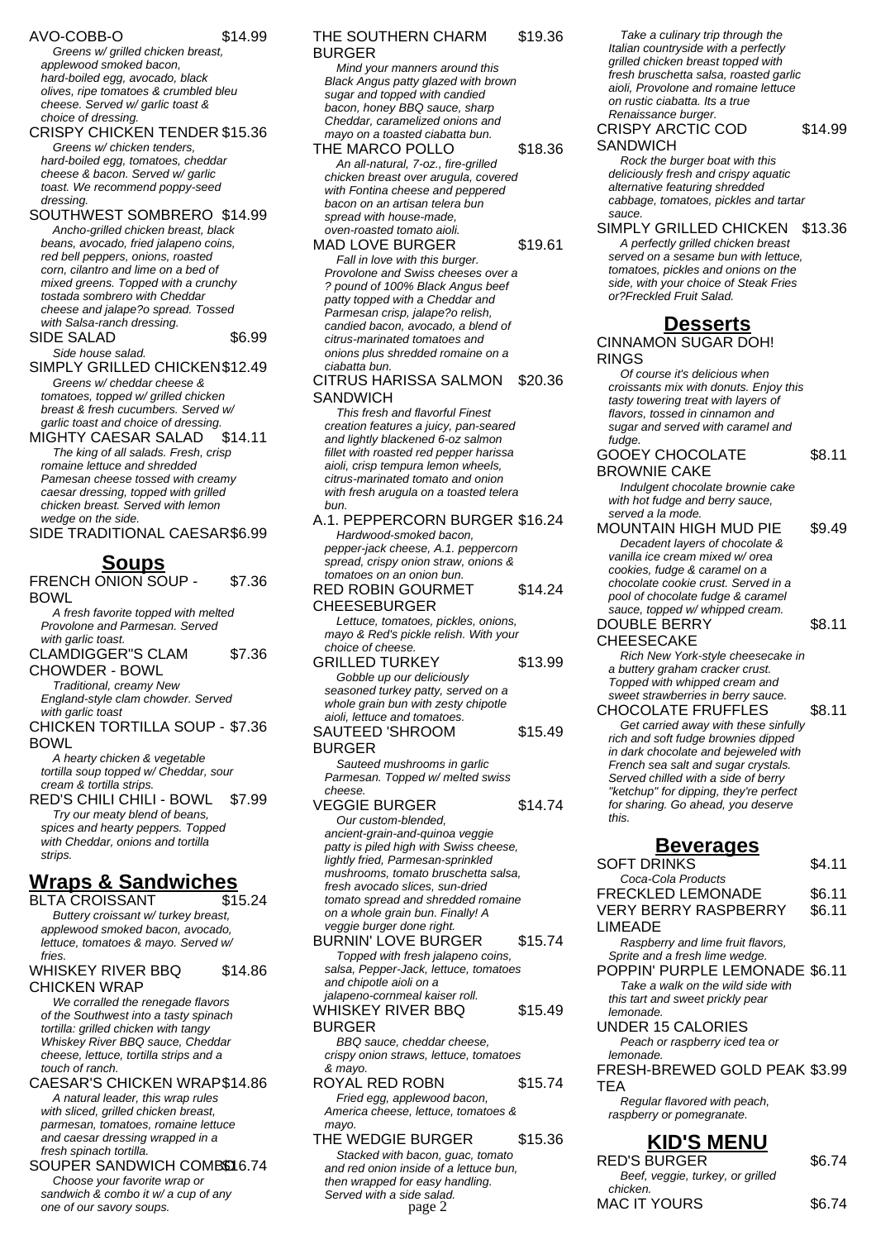### AVO-COBB-O \$14.99

Greens w/ grilled chicken breast, applewood smoked bacon, hard-boiled egg, avocado, black olives, ripe tomatoes & crumbled bleu cheese. Served w/ garlic toast & choice of dressing.

CRISPY CHICKEN TENDER \$15.36 Greens w/ chicken tenders, hard-boiled egg, tomatoes, cheddar cheese & bacon. Served w/ garlic toast. We recommend poppy-seed dressing.

SOUTHWEST SOMBRERO \$14.99 Ancho-grilled chicken breast, black beans, avocado, fried jalapeno coins, red bell peppers, onions, roasted corn, cilantro and lime on a bed of mixed greens. Topped with a crunchy tostada sombrero with Cheddar cheese and jalape?o spread. Tossed with Salsa-ranch dressing.

SIDE SALAD \$6.99 Side house salad.

SIMPLY GRILLED CHICKEN\$12.49 Greens w/ cheddar cheese & tomatoes, topped w/ grilled chicken breast & fresh cucumbers. Served w/ garlic toast and choice of dressing.

MIGHTY CAESAR SALAD \$14.11 The king of all salads. Fresh, crisp romaine lettuce and shredded Pamesan cheese tossed with creamy caesar dressing, topped with grilled chicken breast. Served with lemon wedge on the side.

SIDE TRADITIONAL CAESAR\$6.99

### **Soups**

FRENCH ONION SOUP - BOWL \$7.36

A fresh favorite topped with melted Provolone and Parmesan. Served with garlic toast.

CLAMDIGGER"S CLAM CHOWDER - BOWL \$7.36

Traditional, creamy New England-style clam chowder. Served with garlic toast

CHICKEN TORTILLA SOUP - \$7.36 BOWL

A hearty chicken & vegetable tortilla soup topped w/ Cheddar, sour cream & tortilla strips.

RED'S CHILI CHILI - BOWL \$7.99 Try our meaty blend of beans, spices and hearty peppers. Topped with Cheddar, onions and tortilla strips.

# **Wraps & Sandwiches**

BLTA CROISSANT \$15.24 Buttery croissant w/ turkey breast, applewood smoked bacon, avocado, lettuce, tomatoes & mayo. Served w/ fries

#### WHISKEY RIVER BBQ CHICKEN WRAP \$14.86

We corralled the renegade flavors of the Southwest into a tasty spinach tortilla: grilled chicken with tangy Whiskey River BBQ sauce, Cheddar cheese, lettuce, tortilla strips and a touch of ranch.

CAESAR'S CHICKEN WRAP\$14.86 A natural leader, this wrap rules with sliced, grilled chicken breast, parmesan, tomatoes, romaine lettuce and caesar dressing wrapped in a fresh spinach tortilla.

SOUPER SANDWICH COMBO 6.74 Choose your favorite wrap or sandwich & combo it w/ a cup of any one of our savory soups.

#### THE SOUTHERN CHARM BURGER \$19.36

Mind your manners around this Black Angus patty glazed with brown sugar and topped with candied bacon, honey BBQ sauce, sharp Cheddar, caramelized onions and mayo on a toasted ciabatta bun.

THE MARCO POLLO \$18.36 An all-natural, 7-oz., fire-grilled chicken breast over arugula, covered with Fontina cheese and peppered bacon on an artisan telera bun spread with house-made, oven-roasted tomato aioli. MAD LOVE BURGER \$19.61

Fall in love with this burger. Provolone and Swiss cheeses over a ? pound of 100% Black Angus beef patty topped with a Cheddar and Parmesan crisp, jalape?o relish, candied bacon, avocado, a blend of citrus-marinated tomatoes and onions plus shredded romaine on a ciabatta bun.

#### CITRUS HARISSA SALMON **SANDWICH** \$20.36

This fresh and flavorful Finest creation features a juicy, pan-seared and lightly blackened 6-oz salmon fillet with roasted red pepper harissa aioli, crisp tempura lemon wheels, citrus-marinated tomato and onion with fresh arugula on a toasted telera bun.

#### A.1. PEPPERCORN BURGER \$16.24 Hardwood-smoked bacon,

pepper-jack cheese, A.1. peppercorn spread, crispy onion straw, onions & tomatoes on an onion bun.

#### RED ROBIN GOURMET CHEESEBURGER \$14.24

Lettuce, tomatoes, pickles, onions, mayo & Red's pickle relish. With your choice of cheese.

GRILLED TURKEY \$13.99 Gobble up our deliciously seasoned turkey patty, served on a whole grain bun with zesty chipotle aioli, lettuce and tomatoes. SAUTEED 'SHROOM \$15.49

BURGER Sauteed mushrooms in garlic Parmesan. Topped w/ melted swiss

cheese.

VEGGIE BURGER \$14.74 Our custom-blended, ancient-grain-and-quinoa veggie patty is piled high with Swiss cheese, lightly fried, Parmesan-sprinkled mushrooms, tomato bruschetta salsa, fresh avocado slices, sun-dried tomato spread and shredded romaine on a whole grain bun. Finally! A veggie burger done right. BURNIN' LOVE BURGER \$15.74 Topped with fresh jalapeno coins,

salsa, Pepper-Jack, lettuce, tomatoes and chipotle aioli on a jalapeno-cornmeal kaiser roll. WHISKEY RIVER BBQ BURGER \$15.49 BBQ sauce, cheddar cheese,

crispy onion straws, lettuce, tomatoes & mayo.

ROYAL RED ROBN \$15.74 Fried egg, applewood bacon, America cheese, lettuce, tomatoes & mayo.

THE WEDGIE BURGER \$15.36 Stacked with bacon, guac, tomato and red onion inside of a lettuce bun, then wrapped for easy handling. Served with a side salad.  $page 2$  MAC IT YOURS \$6.74

Take a culinary trip through the Italian countryside with a perfectly grilled chicken breast topped with fresh bruschetta salsa, roasted garlic aioli, Provolone and romaine lettuce on rustic ciabatta. Its a true Renaissance burger.

#### CRISPY ARCTIC COD **SANDWICH** \$14.99

Rock the burger boat with this deliciously fresh and crispy aquatic alternative featuring shredded cabbage, tomatoes, pickles and tartar sauce.

SIMPLY GRILLED CHICKEN \$13.36 A perfectly grilled chicken breast served on a sesame bun with lettuce. tomatoes, pickles and onions on the side, with your choice of Steak Fries or?Freckled Fruit Salad.

# **Desserts**

CINNAMON SUGAR DOH! RINGS

Of course it's delicious when croissants mix with donuts. Enjoy this tasty towering treat with layers of flavors, tossed in cinnamon and sugar and served with caramel and fudge

GOOEY CHOCOLATE BROWNIE CAKE \$8.11

Indulgent chocolate brownie cake with hot fudge and berry sauce, served a la mode.

MOUNTAIN HIGH MUD PIE \$9.49 Decadent layers of chocolate & vanilla ice cream mixed w/ orea cookies, fudge & caramel on a chocolate cookie crust. Served in a pool of chocolate fudge & caramel sauce, topped w/ whipped cream.

DOUBLE BERRY

\$8.11

CHEESECAKE

Rich New York-style cheesecake in a buttery graham cracker crust. Topped with whipped cream and sweet strawberries in berry sauce.

CHOCOLATE FRUFFLES \$8.11 Get carried away with these sinfully

rich and soft fudge brownies dipped in dark chocolate and bejeweled with French sea salt and sugar crystals. Served chilled with a side of berry "ketchup" for dipping, they're perfect for sharing. Go ahead, you deserve this.

## **Beverages**

SOFT DRINKS \$4.11 Coca-Cola Products FRECKLED LEMONADE \$6.11 VERY BERRY RASPBERRY LIMEADE \$6.11 Raspberry and lime fruit flavors, Sprite and a fresh lime wedge. POPPIN' PURPLE LEMONADE \$6.11 Take a walk on the wild side with this tart and sweet prickly pear lemonade. UNDER 15 CALORIES Peach or raspberry iced tea or lemonade. FRESH-BREWED GOLD PEAK \$3.99 **TEA** Regular flavored with peach, raspberry or pomegranate. **KID'S MENU** RED'S BURGER \$6.74 Beef, veggie, turkey, or grilled chicken.